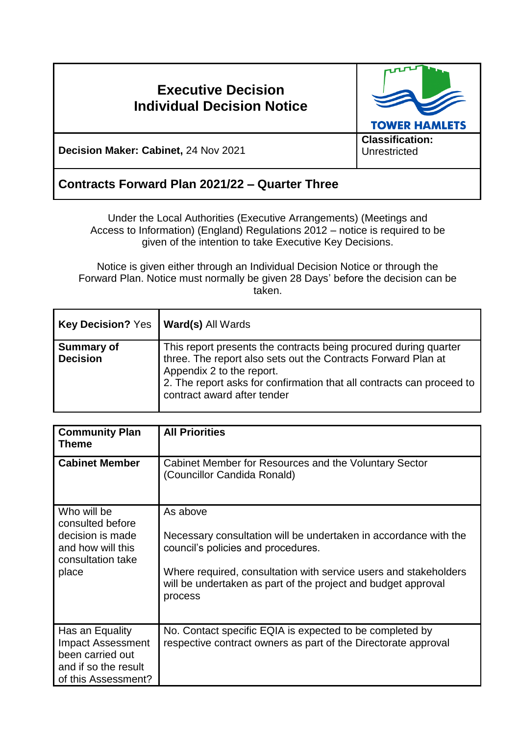# **Executive Decision Individual Decision Notice**



**Decision Maker: Cabinet,** 24 Nov 2021

## **Contracts Forward Plan 2021/22 – Quarter Three**

Under the Local Authorities (Executive Arrangements) (Meetings and Access to Information) (England) Regulations 2012 – notice is required to be given of the intention to take Executive Key Decisions.

Notice is given either through an Individual Decision Notice or through the Forward Plan. Notice must normally be given 28 Days' before the decision can be taken.

| <b>Key Decision? Yes</b>             | <b>Ward(s) All Wards</b>                                                                                                                                                                                                                                               |
|--------------------------------------|------------------------------------------------------------------------------------------------------------------------------------------------------------------------------------------------------------------------------------------------------------------------|
| <b>Summary of</b><br><b>Decision</b> | This report presents the contracts being procured during quarter<br>three. The report also sets out the Contracts Forward Plan at<br>Appendix 2 to the report.<br>2. The report asks for confirmation that all contracts can proceed to<br>contract award after tender |

| <b>Community Plan</b><br>Theme                                                                                 | <b>All Priorities</b>                                                                                                                                                                                                                                              |
|----------------------------------------------------------------------------------------------------------------|--------------------------------------------------------------------------------------------------------------------------------------------------------------------------------------------------------------------------------------------------------------------|
| <b>Cabinet Member</b>                                                                                          | Cabinet Member for Resources and the Voluntary Sector<br>(Councillor Candida Ronald)                                                                                                                                                                               |
| Who will be<br>consulted before<br>decision is made<br>and how will this<br>consultation take<br>place         | As above<br>Necessary consultation will be undertaken in accordance with the<br>council's policies and procedures.<br>Where required, consultation with service users and stakeholders<br>will be undertaken as part of the project and budget approval<br>process |
| Has an Equality<br><b>Impact Assessment</b><br>been carried out<br>and if so the result<br>of this Assessment? | No. Contact specific EQIA is expected to be completed by<br>respective contract owners as part of the Directorate approval                                                                                                                                         |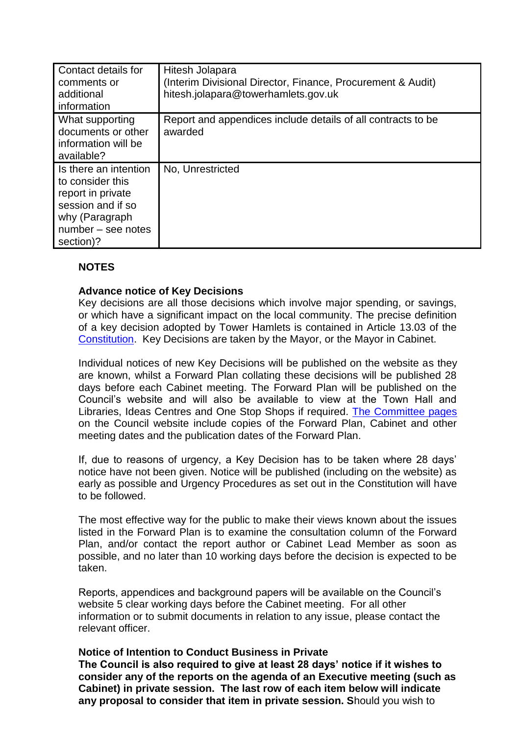| Contact details for<br>comments or<br>additional<br>information                                                                          | Hitesh Jolapara<br>(Interim Divisional Director, Finance, Procurement & Audit)<br>hitesh.jolapara@towerhamlets.gov.uk |
|------------------------------------------------------------------------------------------------------------------------------------------|-----------------------------------------------------------------------------------------------------------------------|
| What supporting<br>documents or other<br>information will be<br>available?                                                               | Report and appendices include details of all contracts to be<br>awarded                                               |
| Is there an intention<br>to consider this<br>report in private<br>session and if so<br>why (Paragraph<br>number – see notes<br>section)? | No, Unrestricted                                                                                                      |

### **NOTES**

#### **Advance notice of Key Decisions**

Key decisions are all those decisions which involve major spending, or savings, or which have a significant impact on the local community. The precise definition of a key decision adopted by Tower Hamlets is contained in Article 13.03 of the [Constitution.](http://democracy.towerhamlets.gov.uk/ieListMeetings.aspx?CId=663&Year=0&info=1&MD=Constitution) Key Decisions are taken by the Mayor, or the Mayor in Cabinet.

Individual notices of new Key Decisions will be published on the website as they are known, whilst a Forward Plan collating these decisions will be published 28 days before each Cabinet meeting. The Forward Plan will be published on the Council's website and will also be available to view at the Town Hall and Libraries, Ideas Centres and One Stop Shops if required. [The Committee pages](https://democracy.towerhamlets.gov.uk/uuCoverPage.aspx?bcr=1) on the Council website include copies of the Forward Plan, Cabinet and other meeting dates and the publication dates of the Forward Plan.

If, due to reasons of urgency, a Key Decision has to be taken where 28 days' notice have not been given. Notice will be published (including on the website) as early as possible and Urgency Procedures as set out in the Constitution will have to be followed.

The most effective way for the public to make their views known about the issues listed in the Forward Plan is to examine the consultation column of the Forward Plan, and/or contact the report author or Cabinet Lead Member as soon as possible, and no later than 10 working days before the decision is expected to be taken.

Reports, appendices and background papers will be available on the Council's website 5 clear working days before the Cabinet meeting. For all other information or to submit documents in relation to any issue, please contact the relevant officer.

#### **Notice of Intention to Conduct Business in Private**

**The Council is also required to give at least 28 days' notice if it wishes to consider any of the reports on the agenda of an Executive meeting (such as Cabinet) in private session. The last row of each item below will indicate any proposal to consider that item in private session. S**hould you wish to